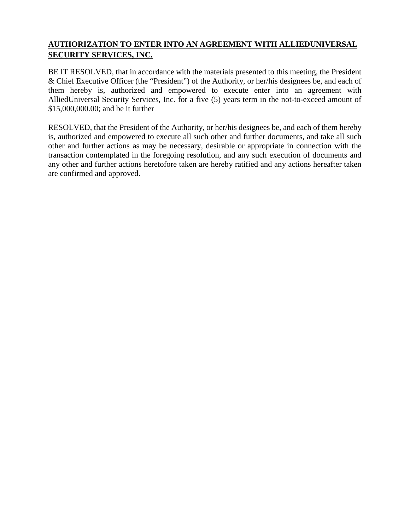# **AUTHORIZATION TO ENTER INTO AN AGREEMENT WITH ALLIEDUNIVERSAL SECURITY SERVICES, INC.**

BE IT RESOLVED, that in accordance with the materials presented to this meeting, the President & Chief Executive Officer (the "President") of the Authority, or her/his designees be, and each of them hereby is, authorized and empowered to execute enter into an agreement with AlliedUniversal Security Services, Inc. for a five (5) years term in the not-to-exceed amount of \$15,000,000.00; and be it further

RESOLVED, that the President of the Authority, or her/his designees be, and each of them hereby is, authorized and empowered to execute all such other and further documents, and take all such other and further actions as may be necessary, desirable or appropriate in connection with the transaction contemplated in the foregoing resolution, and any such execution of documents and any other and further actions heretofore taken are hereby ratified and any actions hereafter taken are confirmed and approved.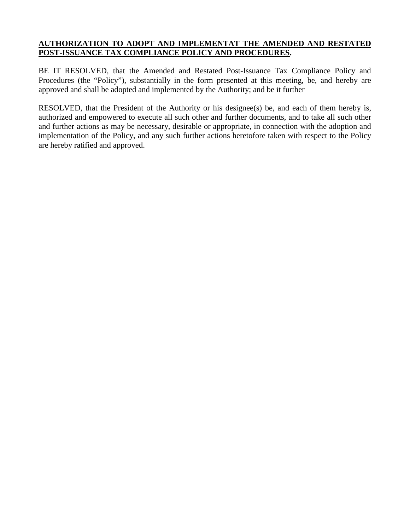# **AUTHORIZATION TO ADOPT AND IMPLEMENTAT THE AMENDED AND RESTATED POST-ISSUANCE TAX COMPLIANCE POLICY AND PROCEDURES.**

BE IT RESOLVED, that the Amended and Restated Post-Issuance Tax Compliance Policy and Procedures (the "Policy"), substantially in the form presented at this meeting, be, and hereby are approved and shall be adopted and implemented by the Authority; and be it further

RESOLVED, that the President of the Authority or his designee(s) be, and each of them hereby is, authorized and empowered to execute all such other and further documents, and to take all such other and further actions as may be necessary, desirable or appropriate, in connection with the adoption and implementation of the Policy, and any such further actions heretofore taken with respect to the Policy are hereby ratified and approved.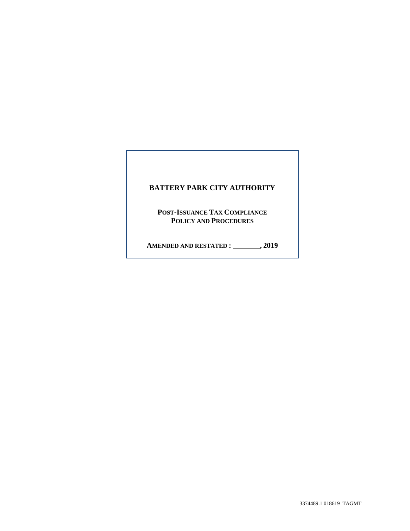# **BATTERY PARK CITY AUTHORITY POST-ISSUANCE TAX COMPLIANCE POLICY AND PROCEDURES AMENDED AND RESTATED : , 2019**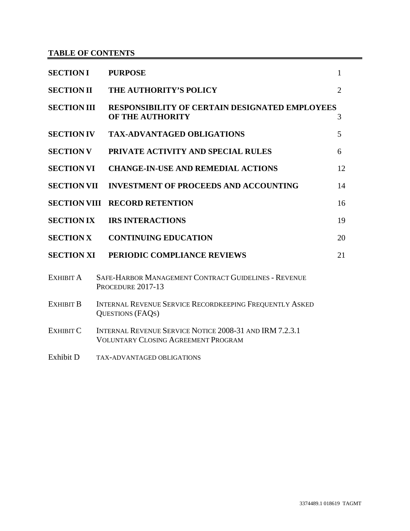# **TABLE OF CONTENTS**

| <b>SECTION I</b>    | <b>PURPOSE</b>                                                                                        | $\mathbf{1}$   |    |
|---------------------|-------------------------------------------------------------------------------------------------------|----------------|----|
| <b>SECTION II</b>   | THE AUTHORITY'S POLICY                                                                                | $\overline{2}$ |    |
| <b>SECTION III</b>  | RESPONSIBILITY OF CERTAIN DESIGNATED EMPLOYEES<br>OF THE AUTHORITY                                    | 3              |    |
| <b>SECTION IV</b>   | <b>TAX-ADVANTAGED OBLIGATIONS</b>                                                                     |                | 5  |
| <b>SECTION V</b>    | PRIVATE ACTIVITY AND SPECIAL RULES                                                                    |                | 6  |
| <b>SECTION VI</b>   | <b>CHANGE-IN-USE AND REMEDIAL ACTIONS</b>                                                             |                | 12 |
| <b>SECTION VII</b>  | <b>INVESTMENT OF PROCEEDS AND ACCOUNTING</b>                                                          |                | 14 |
| <b>SECTION VIII</b> | <b>RECORD RETENTION</b>                                                                               |                | 16 |
| <b>SECTION IX</b>   | <b>IRS INTERACTIONS</b>                                                                               |                | 19 |
| <b>SECTION X</b>    | <b>CONTINUING EDUCATION</b>                                                                           |                | 20 |
| <b>SECTION XI</b>   | PERIODIC COMPLIANCE REVIEWS                                                                           |                | 21 |
| EXHIBIT A           | <b>SAFE-HARBOR MANAGEMENT CONTRACT GUIDELINES - REVENUE</b><br>PROCEDURE 2017-13                      |                |    |
| <b>EXHIBIT B</b>    | INTERNAL REVENUE SERVICE RECORDKEEPING FREQUENTLY ASKED<br><b>QUESTIONS (FAQS)</b>                    |                |    |
| <b>EXHIBIT C</b>    | INTERNAL REVENUE SERVICE NOTICE 2008-31 AND IRM 7.2.3.1<br><b>VOLUNTARY CLOSING AGREEMENT PROGRAM</b> |                |    |
| Exhibit D           | <b>TAX-ADVANTAGED OBLIGATIONS</b>                                                                     |                |    |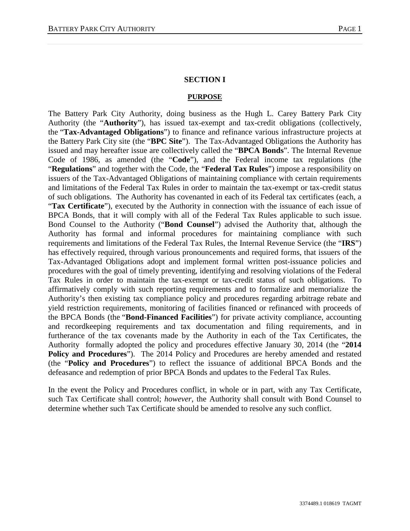#### **SECTION I**

#### **PURPOSE**

The Battery Park City Authority, doing business as the Hugh L. Carey Battery Park City Authority (the "**Authority**"), has issued tax-exempt and tax-credit obligations (collectively, the "**Tax-Advantaged Obligations**") to finance and refinance various infrastructure projects at the Battery Park City site (the "**BPC Site**"). The Tax-Advantaged Obligations the Authority has issued and may hereafter issue are collectively called the "**BPCA Bonds**". The Internal Revenue Code of 1986, as amended (the "**Code**"), and the Federal income tax regulations (the "**Regulations**" and together with the Code, the "**Federal Tax Rules**") impose a responsibility on issuers of the Tax-Advantaged Obligations of maintaining compliance with certain requirements and limitations of the Federal Tax Rules in order to maintain the tax-exempt or tax-credit status of such obligations. The Authority has covenanted in each of its Federal tax certificates (each, a "**Tax Certificate**"), executed by the Authority in connection with the issuance of each issue of BPCA Bonds, that it will comply with all of the Federal Tax Rules applicable to such issue. Bond Counsel to the Authority ("**Bond Counsel**") advised the Authority that, although the Authority has formal and informal procedures for maintaining compliance with such requirements and limitations of the Federal Tax Rules, the Internal Revenue Service (the "**IRS**") has effectively required, through various pronouncements and required forms, that issuers of the Tax-Advantaged Obligations adopt and implement formal written post-issuance policies and procedures with the goal of timely preventing, identifying and resolving violations of the Federal Tax Rules in order to maintain the tax-exempt or tax-credit status of such obligations. To affirmatively comply with such reporting requirements and to formalize and memorialize the Authority's then existing tax compliance policy and procedures regarding arbitrage rebate and yield restriction requirements, monitoring of facilities financed or refinanced with proceeds of the BPCA Bonds (the "**Bond-Financed Facilities**") for private activity compliance, accounting and recordkeeping requirements and tax documentation and filing requirements, and in furtherance of the tax covenants made by the Authority in each of the Tax Certificates, the Authority formally adopted the policy and procedures effective January 30, 2014 (the "**2014 Policy and Procedures**"). The 2014 Policy and Procedures are hereby amended and restated (the "**Policy and Procedures**") to reflect the issuance of additional BPCA Bonds and the defeasance and redemption of prior BPCA Bonds and updates to the Federal Tax Rules.

In the event the Policy and Procedures conflict, in whole or in part, with any Tax Certificate, such Tax Certificate shall control; *however*, the Authority shall consult with Bond Counsel to determine whether such Tax Certificate should be amended to resolve any such conflict.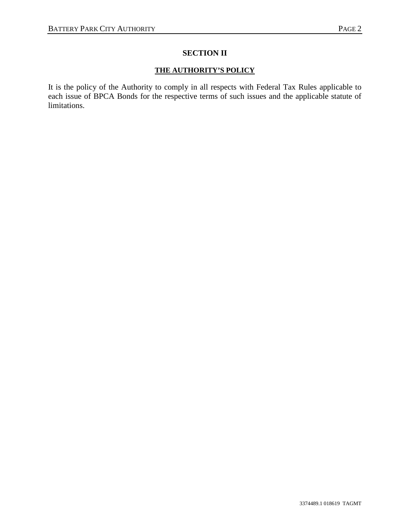# **SECTION II**

# **THE AUTHORITY'S POLICY**

It is the policy of the Authority to comply in all respects with Federal Tax Rules applicable to each issue of BPCA Bonds for the respective terms of such issues and the applicable statute of limitations.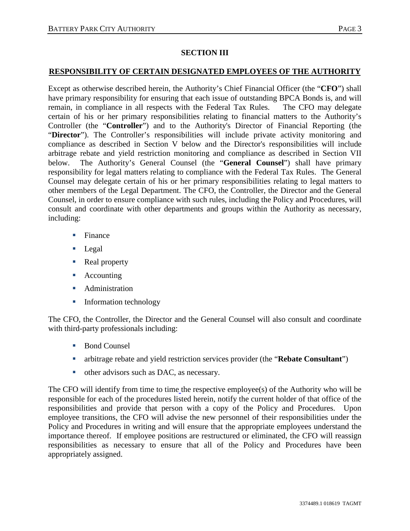# **SECTION III**

# **RESPONSIBILITY OF CERTAIN DESIGNATED EMPLOYEES OF THE AUTHORITY**

Except as otherwise described herein, the Authority's Chief Financial Officer (the "**CFO**") shall have primary responsibility for ensuring that each issue of outstanding BPCA Bonds is, and will remain, in compliance in all respects with the Federal Tax Rules. The CFO may delegate certain of his or her primary responsibilities relating to financial matters to the Authority's Controller (the "**Controller**") and to the Authority's Director of Financial Reporting (the "**Director**"). The Controller's responsibilities will include private activity monitoring and compliance as described in Section V below and the Director's responsibilities will include arbitrage rebate and yield restriction monitoring and compliance as described in Section VII below. The Authority's General Counsel (the "**General Counsel**") shall have primary responsibility for legal matters relating to compliance with the Federal Tax Rules. The General Counsel may delegate certain of his or her primary responsibilities relating to legal matters to other members of the Legal Department. The CFO, the Controller, the Director and the General Counsel, in order to ensure compliance with such rules, including the Policy and Procedures, will consult and coordinate with other departments and groups within the Authority as necessary, including:

- **Finance**
- **Legal**
- Real property
- Accounting
- **Administration**
- **Information technology**

The CFO, the Controller, the Director and the General Counsel will also consult and coordinate with third-party professionals including:

- Bond Counsel
- arbitrage rebate and yield restriction services provider (the "**Rebate Consultant**")
- other advisors such as DAC, as necessary.

The CFO will identify from time to time the respective employee(s) of the Authority who will be responsible for each of the procedures listed herein, notify the current holder of that office of the responsibilities and provide that person with a copy of the Policy and Procedures. Upon employee transitions, the CFO will advise the new personnel of their responsibilities under the Policy and Procedures in writing and will ensure that the appropriate employees understand the importance thereof. If employee positions are restructured or eliminated, the CFO will reassign responsibilities as necessary to ensure that all of the Policy and Procedures have been appropriately assigned.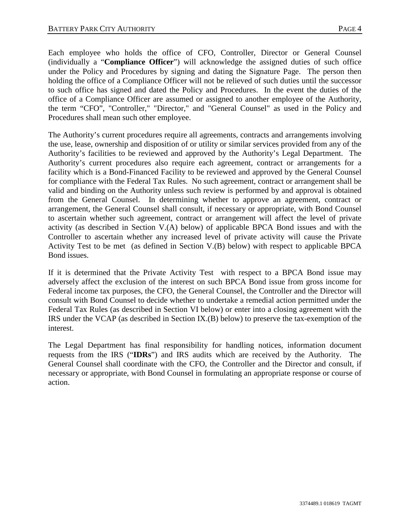Each employee who holds the office of CFO, Controller, Director or General Counsel (individually a "**Compliance Officer**") will acknowledge the assigned duties of such office under the Policy and Procedures by signing and dating the Signature Page. The person then holding the office of a Compliance Officer will not be relieved of such duties until the successor to such office has signed and dated the Policy and Procedures. In the event the duties of the office of a Compliance Officer are assumed or assigned to another employee of the Authority, the term "CFO", "Controller," "Director," and "General Counsel" as used in the Policy and Procedures shall mean such other employee.

The Authority's current procedures require all agreements, contracts and arrangements involving the use, lease, ownership and disposition of or utility or similar services provided from any of the Authority's facilities to be reviewed and approved by the Authority's Legal Department. The Authority's current procedures also require each agreement, contract or arrangements for a facility which is a Bond-Financed Facility to be reviewed and approved by the General Counsel for compliance with the Federal Tax Rules. No such agreement, contract or arrangement shall be valid and binding on the Authority unless such review is performed by and approval is obtained from the General Counsel. In determining whether to approve an agreement, contract or arrangement, the General Counsel shall consult, if necessary or appropriate, with Bond Counsel to ascertain whether such agreement, contract or arrangement will affect the level of private activity (as described in Section V.(A) below) of applicable BPCA Bond issues and with the Controller to ascertain whether any increased level of private activity will cause the Private Activity Test to be met (as defined in Section V.(B) below) with respect to applicable BPCA Bond issues.

If it is determined that the Private Activity Test with respect to a BPCA Bond issue may adversely affect the exclusion of the interest on such BPCA Bond issue from gross income for Federal income tax purposes, the CFO, the General Counsel, the Controller and the Director will consult with Bond Counsel to decide whether to undertake a remedial action permitted under the Federal Tax Rules (as described in Section VI below) or enter into a closing agreement with the IRS under the VCAP (as described in Section IX.(B) below) to preserve the tax-exemption of the interest.

The Legal Department has final responsibility for handling notices, information document requests from the IRS ("**IDRs**") and IRS audits which are received by the Authority. The General Counsel shall coordinate with the CFO, the Controller and the Director and consult, if necessary or appropriate, with Bond Counsel in formulating an appropriate response or course of action.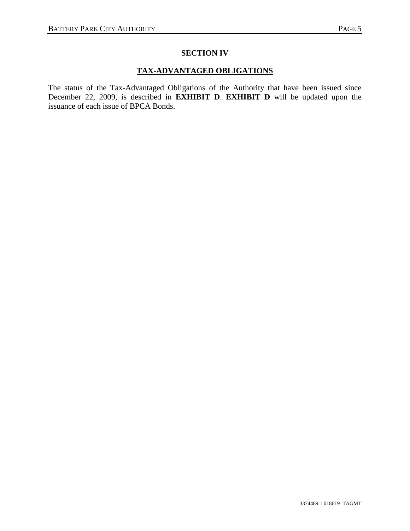# **SECTION IV**

# **TAX-ADVANTAGED OBLIGATIONS**

The status of the Tax-Advantaged Obligations of the Authority that have been issued since December 22, 2009, is described in **EXHIBIT D**. **EXHIBIT D** will be updated upon the issuance of each issue of BPCA Bonds.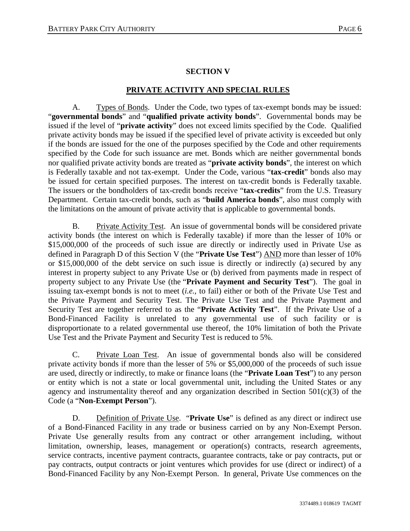# **SECTION V**

# **PRIVATE ACTIVITY AND SPECIAL RULES**

A. Types of Bonds. Under the Code, two types of tax-exempt bonds may be issued: "**governmental bonds**" and "**qualified private activity bonds**". Governmental bonds may be issued if the level of "**private activity**" does not exceed limits specified by the Code. Qualified private activity bonds may be issued if the specified level of private activity is exceeded but only if the bonds are issued for the one of the purposes specified by the Code and other requirements specified by the Code for such issuance are met. Bonds which are neither governmental bonds nor qualified private activity bonds are treated as "**private activity bonds**", the interest on which is Federally taxable and not tax-exempt. Under the Code, various "**tax-credit**" bonds also may be issued for certain specified purposes. The interest on tax-credit bonds is Federally taxable. The issuers or the bondholders of tax-credit bonds receive "**tax-credits**" from the U.S. Treasury Department. Certain tax-credit bonds, such as "**build America bonds**", also must comply with the limitations on the amount of private activity that is applicable to governmental bonds.

B. Private Activity Test. An issue of governmental bonds will be considered private activity bonds (the interest on which is Federally taxable) if more than the lesser of 10% or \$15,000,000 of the proceeds of such issue are directly or indirectly used in Private Use as defined in Paragraph D of this Section V (the "**Private Use Test**") AND more than lesser of 10% or \$15,000,000 of the debt service on such issue is directly or indirectly (a) secured by any interest in property subject to any Private Use or (b) derived from payments made in respect of property subject to any Private Use (the "**Private Payment and Security Test**"). The goal in issuing tax-exempt bonds is not to meet (*i.e.*, to fail) either or both of the Private Use Test and the Private Payment and Security Test. The Private Use Test and the Private Payment and Security Test are together referred to as the "**Private Activity Test**". If the Private Use of a Bond-Financed Facility is unrelated to any governmental use of such facility or is disproportionate to a related governmental use thereof, the 10% limitation of both the Private Use Test and the Private Payment and Security Test is reduced to 5%.

C. Private Loan Test. An issue of governmental bonds also will be considered private activity bonds if more than the lesser of 5% or \$5,000,000 of the proceeds of such issue are used, directly or indirectly, to make or finance loans (the "**Private Loan Test**") to any person or entity which is not a state or local governmental unit, including the United States or any agency and instrumentality thereof and any organization described in Section 501(c)(3) of the Code (a "**Non-Exempt Person**").

D. Definition of Private Use. "**Private Use**" is defined as any direct or indirect use of a Bond-Financed Facility in any trade or business carried on by any Non-Exempt Person. Private Use generally results from any contract or other arrangement including, without limitation, ownership, leases, management or operation(s) contracts, research agreements, service contracts, incentive payment contracts, guarantee contracts, take or pay contracts, put or pay contracts, output contracts or joint ventures which provides for use (direct or indirect) of a Bond-Financed Facility by any Non-Exempt Person. In general, Private Use commences on the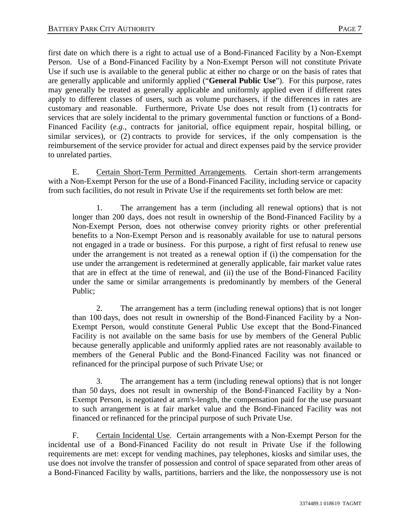first date on which there is a right to actual use of a Bond-Financed Facility by a Non-Exempt Person. Use of a Bond-Financed Facility by a Non-Exempt Person will not constitute Private Use if such use is available to the general public at either no charge or on the basis of rates that are generally applicable and uniformly applied ("**General Public Use**"). For this purpose, rates may generally be treated as generally applicable and uniformly applied even if different rates apply to different classes of users, such as volume purchasers, if the differences in rates are customary and reasonable. Furthermore, Private Use does not result from (1) contracts for services that are solely incidental to the primary governmental function or functions of a Bond-Financed Facility (*e.g.*, contracts for janitorial, office equipment repair, hospital billing, or similar services), or (2) contracts to provide for services, if the only compensation is the reimbursement of the service provider for actual and direct expenses paid by the service provider to unrelated parties.

E. Certain Short-Term Permitted Arrangements. Certain short-term arrangements with a Non-Exempt Person for the use of a Bond-Financed Facility, including service or capacity from such facilities, do not result in Private Use if the requirements set forth below are met:

1. The arrangement has a term (including all renewal options) that is not longer than 200 days, does not result in ownership of the Bond-Financed Facility by a Non-Exempt Person, does not otherwise convey priority rights or other preferential benefits to a Non-Exempt Person and is reasonably available for use to natural persons not engaged in a trade or business. For this purpose, a right of first refusal to renew use under the arrangement is not treated as a renewal option if (i) the compensation for the use under the arrangement is redetermined at generally applicable, fair market value rates that are in effect at the time of renewal, and (ii) the use of the Bond-Financed Facility under the same or similar arrangements is predominantly by members of the General Public;

2. The arrangement has a term (including renewal options) that is not longer than 100 days, does not result in ownership of the Bond-Financed Facility by a Non-Exempt Person, would constitute General Public Use except that the Bond-Financed Facility is not available on the same basis for use by members of the General Public because generally applicable and uniformly applied rates are not reasonably available to members of the General Public and the Bond-Financed Facility was not financed or refinanced for the principal purpose of such Private Use; or

3. The arrangement has a term (including renewal options) that is not longer than 50 days, does not result in ownership of the Bond-Financed Facility by a Non-Exempt Person, is negotiated at arm's-length, the compensation paid for the use pursuant to such arrangement is at fair market value and the Bond-Financed Facility was not financed or refinanced for the principal purpose of such Private Use.

F. Certain Incidental Use. Certain arrangements with a Non-Exempt Person for the incidental use of a Bond-Financed Facility do not result in Private Use if the following requirements are met: except for vending machines, pay telephones, kiosks and similar uses, the use does not involve the transfer of possession and control of space separated from other areas of a Bond-Financed Facility by walls, partitions, barriers and the like, the nonpossessory use is not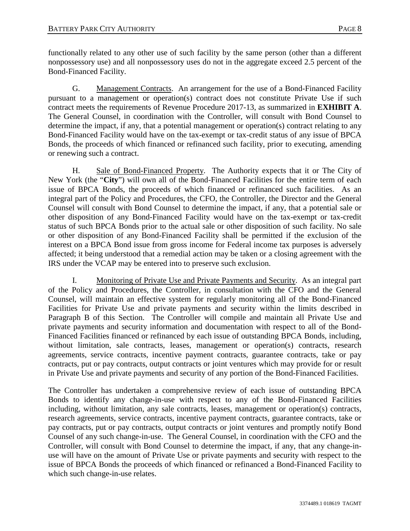functionally related to any other use of such facility by the same person (other than a different nonpossessory use) and all nonpossessory uses do not in the aggregate exceed 2.5 percent of the Bond-Financed Facility.

G. Management Contracts. An arrangement for the use of a Bond-Financed Facility pursuant to a management or operation(s) contract does not constitute Private Use if such contract meets the requirements of Revenue Procedure 2017-13, as summarized in **EXHIBIT A**. The General Counsel, in coordination with the Controller, will consult with Bond Counsel to determine the impact, if any, that a potential management or operation(s) contract relating to any Bond-Financed Facility would have on the tax-exempt or tax-credit status of any issue of BPCA Bonds, the proceeds of which financed or refinanced such facility, prior to executing, amending or renewing such a contract.

H. Sale of Bond-Financed Property. The Authority expects that it or The City of New York (the "**City**") will own all of the Bond-Financed Facilities for the entire term of each issue of BPCA Bonds, the proceeds of which financed or refinanced such facilities. As an integral part of the Policy and Procedures, the CFO, the Controller, the Director and the General Counsel will consult with Bond Counsel to determine the impact, if any, that a potential sale or other disposition of any Bond-Financed Facility would have on the tax-exempt or tax-credit status of such BPCA Bonds prior to the actual sale or other disposition of such facility. No sale or other disposition of any Bond-Financed Facility shall be permitted if the exclusion of the interest on a BPCA Bond issue from gross income for Federal income tax purposes is adversely affected; it being understood that a remedial action may be taken or a closing agreement with the IRS under the VCAP may be entered into to preserve such exclusion.

I. Monitoring of Private Use and Private Payments and Security. As an integral part of the Policy and Procedures, the Controller, in consultation with the CFO and the General Counsel, will maintain an effective system for regularly monitoring all of the Bond-Financed Facilities for Private Use and private payments and security within the limits described in Paragraph B of this Section. The Controller will compile and maintain all Private Use and private payments and security information and documentation with respect to all of the Bond-Financed Facilities financed or refinanced by each issue of outstanding BPCA Bonds, including, without limitation, sale contracts, leases, management or operation(s) contracts, research agreements, service contracts, incentive payment contracts, guarantee contracts, take or pay contracts, put or pay contracts, output contracts or joint ventures which may provide for or result in Private Use and private payments and security of any portion of the Bond-Financed Facilities.

The Controller has undertaken a comprehensive review of each issue of outstanding BPCA Bonds to identify any change-in-use with respect to any of the Bond-Financed Facilities including, without limitation, any sale contracts, leases, management or operation(s) contracts, research agreements, service contracts, incentive payment contracts, guarantee contracts, take or pay contracts, put or pay contracts, output contracts or joint ventures and promptly notify Bond Counsel of any such change-in-use. The General Counsel, in coordination with the CFO and the Controller, will consult with Bond Counsel to determine the impact, if any, that any change-inuse will have on the amount of Private Use or private payments and security with respect to the issue of BPCA Bonds the proceeds of which financed or refinanced a Bond-Financed Facility to which such change-in-use relates.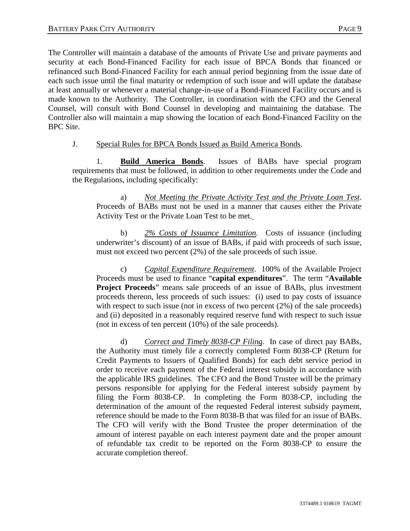The Controller will maintain a database of the amounts of Private Use and private payments and security at each Bond-Financed Facility for each issue of BPCA Bonds that financed or refinanced such Bond-Financed Facility for each annual period beginning from the issue date of each such issue until the final maturity or redemption of such issue and will update the database at least annually or whenever a material change-in-use of a Bond-Financed Facility occurs and is made known to the Authority. The Controller, in coordination with the CFO and the General Counsel, will consult with Bond Counsel in developing and maintaining the database. The Controller also will maintain a map showing the location of each Bond-Financed Facility on the BPC Site.

## J. Special Rules for BPCA Bonds Issued as Build America Bonds.

1. **Build America Bonds**. Issues of BABs have special program requirements that must be followed, in addition to other requirements under the Code and the Regulations, including specifically:

a) *Not Meeting the Private Activity Test and the Private Loan Test*. Proceeds of BABs must not be used in a manner that causes either the Private Activity Test or the Private Loan Test to be met.

b) *2% Costs of Issuance Limitation*. Costs of issuance (including underwriter's discount) of an issue of BABs, if paid with proceeds of such issue, must not exceed two percent (2%) of the sale proceeds of such issue.

c) *Capital Expenditure Requirement*. 100% of the Available Project Proceeds must be used to finance "**capital expenditures**". The term "**Available Project Proceeds**" means sale proceeds of an issue of BABs, plus investment proceeds thereon, less proceeds of such issues: (i) used to pay costs of issuance with respect to such issue (not in excess of two percent  $(2%)$  of the sale proceeds) and (ii) deposited in a reasonably required reserve fund with respect to such issue (not in excess of ten percent (10%) of the sale proceeds).

d) *Correct and Timely 8038-CP Filing*. In case of direct pay BABs, the Authority must timely file a correctly completed Form 8038-CP (Return for Credit Payments to Issuers of Qualified Bonds) for each debt service period in order to receive each payment of the Federal interest subsidy in accordance with the applicable IRS guidelines. The CFO and the Bond Trustee will be the primary persons responsible for applying for the Federal interest subsidy payment by filing the Form 8038-CP. In completing the Form 8038-CP, including the determination of the amount of the requested Federal interest subsidy payment, reference should be made to the Form 8038-B that was filed for an issue of BABs. The CFO will verify with the Bond Trustee the proper determination of the amount of interest payable on each interest payment date and the proper amount of refundable tax credit to be reported on the Form 8038-CP to ensure the accurate completion thereof.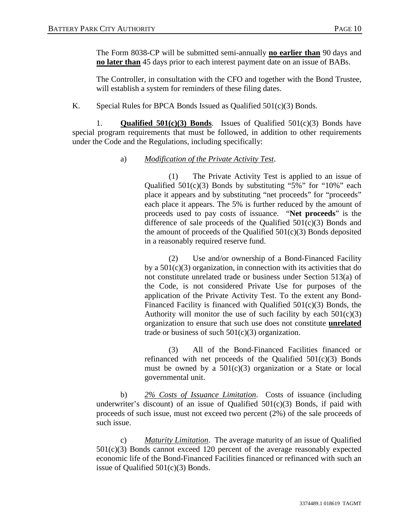The Form 8038-CP will be submitted semi-annually **no earlier than** 90 days and **no later than** 45 days prior to each interest payment date on an issue of BABs.

The Controller, in consultation with the CFO and together with the Bond Trustee, will establish a system for reminders of these filing dates.

K. Special Rules for BPCA Bonds Issued as Qualified 501(c)(3) Bonds.

1. **Qualified 501(c)(3) Bonds**. Issues of Qualified 501(c)(3) Bonds have special program requirements that must be followed, in addition to other requirements under the Code and the Regulations, including specifically:

# a) *Modification of the Private Activity Test*.

(1) The Private Activity Test is applied to an issue of Qualified  $501(c)(3)$  Bonds by substituting "5%" for "10%" each place it appears and by substituting "net proceeds" for "proceeds" each place it appears. The 5% is further reduced by the amount of proceeds used to pay costs of issuance. "**Net proceeds**" is the difference of sale proceeds of the Qualified 501(c)(3) Bonds and the amount of proceeds of the Qualified  $501(c)(3)$  Bonds deposited in a reasonably required reserve fund.

(2) Use and/or ownership of a Bond-Financed Facility by a  $501(c)(3)$  organization, in connection with its activities that do not constitute unrelated trade or business under Section 513(a) of the Code, is not considered Private Use for purposes of the application of the Private Activity Test. To the extent any Bond-Financed Facility is financed with Qualified 501(c)(3) Bonds, the Authority will monitor the use of such facility by each  $501(c)(3)$ organization to ensure that such use does not constitute **unrelated** trade or business of such  $501(c)(3)$  organization.

(3) All of the Bond-Financed Facilities financed or refinanced with net proceeds of the Qualified  $501(c)(3)$  Bonds must be owned by a  $501(c)(3)$  organization or a State or local governmental unit.

b) *2% Costs of Issuance Limitation*. Costs of issuance (including underwriter's discount) of an issue of Qualified  $501(c)(3)$  Bonds, if paid with proceeds of such issue, must not exceed two percent (2%) of the sale proceeds of such issue.

c) *Maturity Limitation*. The average maturity of an issue of Qualified  $501(c)(3)$  Bonds cannot exceed 120 percent of the average reasonably expected economic life of the Bond-Financed Facilities financed or refinanced with such an issue of Qualified 501(c)(3) Bonds.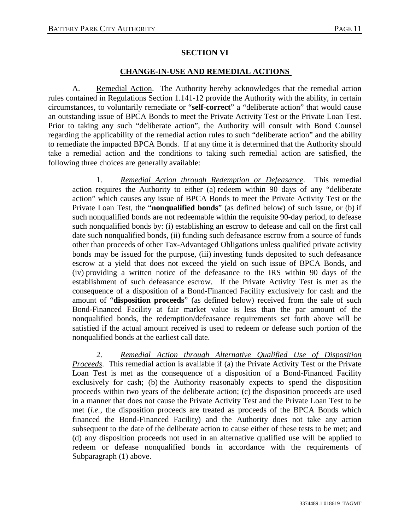# **SECTION VI**

# **CHANGE-IN-USE AND REMEDIAL ACTIONS**

A. Remedial Action. The Authority hereby acknowledges that the remedial action rules contained in Regulations Section 1.141-12 provide the Authority with the ability, in certain circumstances, to voluntarily remediate or "**self-correct**" a "deliberate action" that would cause an outstanding issue of BPCA Bonds to meet the Private Activity Test or the Private Loan Test. Prior to taking any such "deliberate action", the Authority will consult with Bond Counsel regarding the applicability of the remedial action rules to such "deliberate action" and the ability to remediate the impacted BPCA Bonds. If at any time it is determined that the Authority should take a remedial action and the conditions to taking such remedial action are satisfied, the following three choices are generally available:

1. *Remedial Action through Redemption or Defeasance*. This remedial action requires the Authority to either (a) redeem within 90 days of any "deliberate action" which causes any issue of BPCA Bonds to meet the Private Activity Test or the Private Loan Test, the "**nonqualified bonds**" (as defined below) of such issue, or (b) if such nonqualified bonds are not redeemable within the requisite 90-day period, to defease such nonqualified bonds by: (i) establishing an escrow to defease and call on the first call date such nonqualified bonds, (ii) funding such defeasance escrow from a source of funds other than proceeds of other Tax-Advantaged Obligations unless qualified private activity bonds may be issued for the purpose, (iii) investing funds deposited to such defeasance escrow at a yield that does not exceed the yield on such issue of BPCA Bonds, and (iv) providing a written notice of the defeasance to the IRS within 90 days of the establishment of such defeasance escrow. If the Private Activity Test is met as the consequence of a disposition of a Bond-Financed Facility exclusively for cash and the amount of "**disposition proceeds**" (as defined below) received from the sale of such Bond-Financed Facility at fair market value is less than the par amount of the nonqualified bonds, the redemption/defeasance requirements set forth above will be satisfied if the actual amount received is used to redeem or defease such portion of the nonqualified bonds at the earliest call date.

2. *Remedial Action through Alternative Qualified Use of Disposition Proceeds*. This remedial action is available if (a) the Private Activity Test or the Private Loan Test is met as the consequence of a disposition of a Bond-Financed Facility exclusively for cash; (b) the Authority reasonably expects to spend the disposition proceeds within two years of the deliberate action; (c) the disposition proceeds are used in a manner that does not cause the Private Activity Test and the Private Loan Test to be met (*i.e.*, the disposition proceeds are treated as proceeds of the BPCA Bonds which financed the Bond-Financed Facility) and the Authority does not take any action subsequent to the date of the deliberate action to cause either of these tests to be met; and (d) any disposition proceeds not used in an alternative qualified use will be applied to redeem or defease nonqualified bonds in accordance with the requirements of Subparagraph (1) above.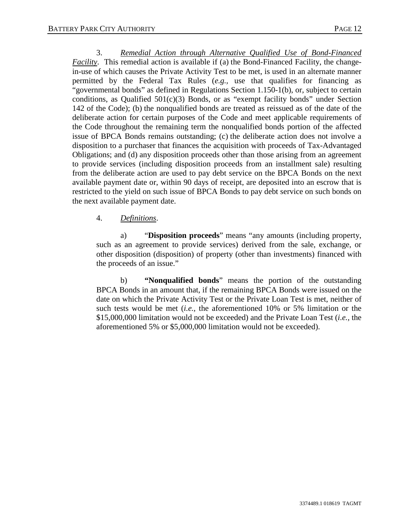3. *Remedial Action through Alternative Qualified Use of Bond-Financed Facility*. This remedial action is available if (a) the Bond-Financed Facility, the changein-use of which causes the Private Activity Test to be met, is used in an alternate manner permitted by the Federal Tax Rules (*e.g.,* use that qualifies for financing as "governmental bonds" as defined in Regulations Section 1.150-1(b), or, subject to certain conditions, as Qualified  $501(c)(3)$  Bonds, or as "exempt facility bonds" under Section 142 of the Code); (b) the nonqualified bonds are treated as reissued as of the date of the deliberate action for certain purposes of the Code and meet applicable requirements of the Code throughout the remaining term the nonqualified bonds portion of the affected issue of BPCA Bonds remains outstanding; (c) the deliberate action does not involve a disposition to a purchaser that finances the acquisition with proceeds of Tax-Advantaged Obligations; and (d) any disposition proceeds other than those arising from an agreement to provide services (including disposition proceeds from an installment sale) resulting from the deliberate action are used to pay debt service on the BPCA Bonds on the next available payment date or, within 90 days of receipt, are deposited into an escrow that is restricted to the yield on such issue of BPCA Bonds to pay debt service on such bonds on the next available payment date.

# 4. *Definitions*.

a) "**Disposition proceeds**" means "any amounts (including property, such as an agreement to provide services) derived from the sale, exchange, or other disposition (disposition) of property (other than investments) financed with the proceeds of an issue."

b) **"Nonqualified bonds**" means the portion of the outstanding BPCA Bonds in an amount that, if the remaining BPCA Bonds were issued on the date on which the Private Activity Test or the Private Loan Test is met, neither of such tests would be met (*i.e.,* the aforementioned 10% or 5% limitation or the \$15,000,000 limitation would not be exceeded) and the Private Loan Test (*i.e.,* the aforementioned 5% or \$5,000,000 limitation would not be exceeded).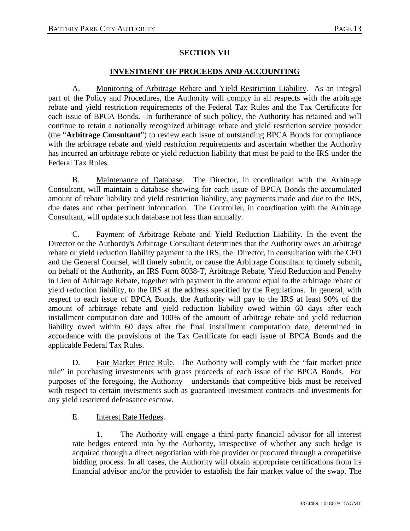# **SECTION VII**

# **INVESTMENT OF PROCEEDS AND ACCOUNTING**

A. Monitoring of Arbitrage Rebate and Yield Restriction Liability. As an integral part of the Policy and Procedures, the Authority will comply in all respects with the arbitrage rebate and yield restriction requirements of the Federal Tax Rules and the Tax Certificate for each issue of BPCA Bonds. In furtherance of such policy, the Authority has retained and will continue to retain a nationally recognized arbitrage rebate and yield restriction service provider (the "**Arbitrage Consultant**") to review each issue of outstanding BPCA Bonds for compliance with the arbitrage rebate and yield restriction requirements and ascertain whether the Authority has incurred an arbitrage rebate or yield reduction liability that must be paid to the IRS under the Federal Tax Rules.

B. Maintenance of Database. The Director, in coordination with the Arbitrage Consultant, will maintain a database showing for each issue of BPCA Bonds the accumulated amount of rebate liability and yield restriction liability, any payments made and due to the IRS, due dates and other pertinent information. The Controller, in coordination with the Arbitrage Consultant, will update such database not less than annually.

C. Payment of Arbitrage Rebate and Yield Reduction Liability. In the event the Director or the Authority's Arbitrage Consultant determines that the Authority owes an arbitrage rebate or yield reduction liability payment to the IRS, the Director, in consultation with the CFO and the General Counsel, will timely submit, or cause the Arbitrage Consultant to timely submit, on behalf of the Authority, an IRS Form 8038-T, Arbitrage Rebate, Yield Reduction and Penalty in Lieu of Arbitrage Rebate, together with payment in the amount equal to the arbitrage rebate or yield reduction liability, to the IRS at the address specified by the Regulations. In general, with respect to each issue of BPCA Bonds, the Authority will pay to the IRS at least 90% of the amount of arbitrage rebate and yield reduction liability owed within 60 days after each installment computation date and 100% of the amount of arbitrage rebate and yield reduction liability owed within 60 days after the final installment computation date, determined in accordance with the provisions of the Tax Certificate for each issue of BPCA Bonds and the applicable Federal Tax Rules.

D. Fair Market Price Rule. The Authority will comply with the "fair market price rule" in purchasing investments with gross proceeds of each issue of the BPCA Bonds. For purposes of the foregoing, the Authority understands that competitive bids must be received with respect to certain investments such as guaranteed investment contracts and investments for any yield restricted defeasance escrow.

E. Interest Rate Hedges.

1. The Authority will engage a third-party financial advisor for all interest rate hedges entered into by the Authority, irrespective of whether any such hedge is acquired through a direct negotiation with the provider or procured through a competitive bidding process. In all cases, the Authority will obtain appropriate certifications from its financial advisor and/or the provider to establish the fair market value of the swap. The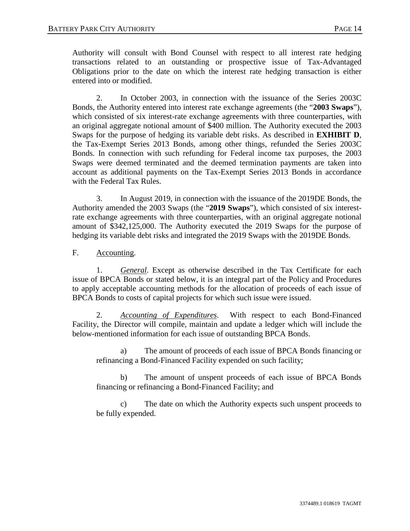Authority will consult with Bond Counsel with respect to all interest rate hedging transactions related to an outstanding or prospective issue of Tax-Advantaged Obligations prior to the date on which the interest rate hedging transaction is either entered into or modified.

2. In October 2003, in connection with the issuance of the Series 2003C Bonds, the Authority entered into interest rate exchange agreements (the "**2003 Swaps**"), which consisted of six interest-rate exchange agreements with three counterparties, with an original aggregate notional amount of \$400 million. The Authority executed the 2003 Swaps for the purpose of hedging its variable debt risks. As described in **EXHIBIT D**, the Tax-Exempt Series 2013 Bonds, among other things, refunded the Series 2003C Bonds. In connection with such refunding for Federal income tax purposes, the 2003 Swaps were deemed terminated and the deemed termination payments are taken into account as additional payments on the Tax-Exempt Series 2013 Bonds in accordance with the Federal Tax Rules.

3. In August 2019, in connection with the issuance of the 2019DE Bonds, the Authority amended the 2003 Swaps (the "**2019 Swaps**"), which consisted of six interestrate exchange agreements with three counterparties, with an original aggregate notional amount of \$342,125,000. The Authority executed the 2019 Swaps for the purpose of hedging its variable debt risks and integrated the 2019 Swaps with the 2019DE Bonds.

F. Accounting.

1. *General*. Except as otherwise described in the Tax Certificate for each issue of BPCA Bonds or stated below, it is an integral part of the Policy and Procedures to apply acceptable accounting methods for the allocation of proceeds of each issue of BPCA Bonds to costs of capital projects for which such issue were issued.

2. *Accounting of Expenditures*. With respect to each Bond-Financed Facility, the Director will compile, maintain and update a ledger which will include the below-mentioned information for each issue of outstanding BPCA Bonds.

a) The amount of proceeds of each issue of BPCA Bonds financing or refinancing a Bond-Financed Facility expended on such facility;

b) The amount of unspent proceeds of each issue of BPCA Bonds financing or refinancing a Bond-Financed Facility; and

c) The date on which the Authority expects such unspent proceeds to be fully expended.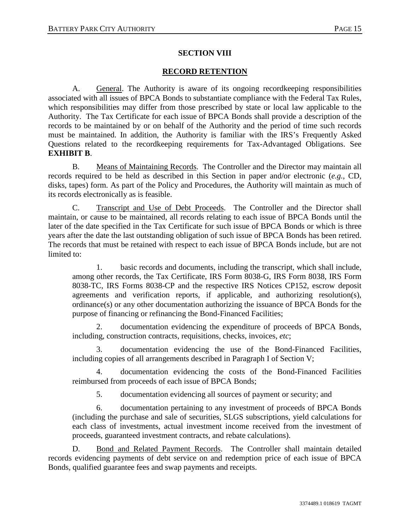# **SECTION VIII**

# **RECORD RETENTION**

A. General. The Authority is aware of its ongoing recordkeeping responsibilities associated with all issues of BPCA Bonds to substantiate compliance with the Federal Tax Rules, which responsibilities may differ from those prescribed by state or local law applicable to the Authority. The Tax Certificate for each issue of BPCA Bonds shall provide a description of the records to be maintained by or on behalf of the Authority and the period of time such records must be maintained. In addition, the Authority is familiar with the IRS's Frequently Asked Questions related to the recordkeeping requirements for Tax-Advantaged Obligations. See **EXHIBIT B**.

B. Means of Maintaining Records. The Controller and the Director may maintain all records required to be held as described in this Section in paper and/or electronic (*e.g.*, CD, disks, tapes) form. As part of the Policy and Procedures, the Authority will maintain as much of its records electronically as is feasible.

C. Transcript and Use of Debt Proceeds. The Controller and the Director shall maintain, or cause to be maintained, all records relating to each issue of BPCA Bonds until the later of the date specified in the Tax Certificate for such issue of BPCA Bonds or which is three years after the date the last outstanding obligation of such issue of BPCA Bonds has been retired. The records that must be retained with respect to each issue of BPCA Bonds include, but are not limited to:

1. basic records and documents, including the transcript, which shall include, among other records, the Tax Certificate, IRS Form 8038-G, IRS Form 8038, IRS Form 8038-TC, IRS Forms 8038-CP and the respective IRS Notices CP152, escrow deposit agreements and verification reports, if applicable, and authorizing resolution(s), ordinance(s) or any other documentation authorizing the issuance of BPCA Bonds for the purpose of financing or refinancing the Bond-Financed Facilities;

2. documentation evidencing the expenditure of proceeds of BPCA Bonds, including, construction contracts, requisitions, checks, invoices, *etc*;

documentation evidencing the use of the Bond-Financed Facilities, including copies of all arrangements described in Paragraph I of Section V;

4. documentation evidencing the costs of the Bond-Financed Facilities reimbursed from proceeds of each issue of BPCA Bonds;

5. documentation evidencing all sources of payment or security; and

6. documentation pertaining to any investment of proceeds of BPCA Bonds (including the purchase and sale of securities, SLGS subscriptions, yield calculations for each class of investments, actual investment income received from the investment of proceeds, guaranteed investment contracts, and rebate calculations).

D. Bond and Related Payment Records. The Controller shall maintain detailed records evidencing payments of debt service on and redemption price of each issue of BPCA Bonds, qualified guarantee fees and swap payments and receipts.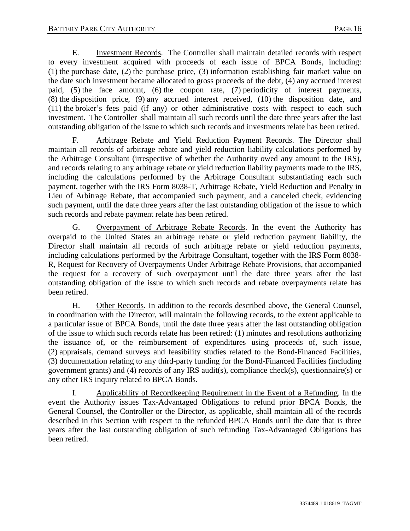E. Investment Records. The Controller shall maintain detailed records with respect to every investment acquired with proceeds of each issue of BPCA Bonds, including: (1) the purchase date, (2) the purchase price, (3) information establishing fair market value on the date such investment became allocated to gross proceeds of the debt, (4) any accrued interest paid, (5) the face amount, (6) the coupon rate, (7) periodicity of interest payments, (8) the disposition price, (9) any accrued interest received, (10) the disposition date, and (11) the broker's fees paid (if any) or other administrative costs with respect to each such investment. The Controller shall maintain all such records until the date three years after the last outstanding obligation of the issue to which such records and investments relate has been retired.

F. Arbitrage Rebate and Yield Reduction Payment Records. The Director shall maintain all records of arbitrage rebate and yield reduction liability calculations performed by the Arbitrage Consultant (irrespective of whether the Authority owed any amount to the IRS), and records relating to any arbitrage rebate or yield reduction liability payments made to the IRS, including the calculations performed by the Arbitrage Consultant substantiating each such payment, together with the IRS Form 8038-T, Arbitrage Rebate, Yield Reduction and Penalty in Lieu of Arbitrage Rebate, that accompanied such payment, and a canceled check, evidencing such payment, until the date three years after the last outstanding obligation of the issue to which such records and rebate payment relate has been retired.

G. Overpayment of Arbitrage Rebate Records. In the event the Authority has overpaid to the United States an arbitrage rebate or yield reduction payment liability, the Director shall maintain all records of such arbitrage rebate or yield reduction payments, including calculations performed by the Arbitrage Consultant, together with the IRS Form 8038- R, Request for Recovery of Overpayments Under Arbitrage Rebate Provisions, that accompanied the request for a recovery of such overpayment until the date three years after the last outstanding obligation of the issue to which such records and rebate overpayments relate has been retired.

H. Other Records. In addition to the records described above, the General Counsel, in coordination with the Director, will maintain the following records, to the extent applicable to a particular issue of BPCA Bonds, until the date three years after the last outstanding obligation of the issue to which such records relate has been retired: (1) minutes and resolutions authorizing the issuance of, or the reimbursement of expenditures using proceeds of, such issue, (2) appraisals, demand surveys and feasibility studies related to the Bond-Financed Facilities, (3) documentation relating to any third-party funding for the Bond-Financed Facilities (including government grants) and (4) records of any IRS audit(s), compliance check(s), questionnaire(s) or any other IRS inquiry related to BPCA Bonds.

I. Applicability of Recordkeeping Requirement in the Event of a Refunding. In the event the Authority issues Tax-Advantaged Obligations to refund prior BPCA Bonds, the General Counsel, the Controller or the Director, as applicable, shall maintain all of the records described in this Section with respect to the refunded BPCA Bonds until the date that is three years after the last outstanding obligation of such refunding Tax-Advantaged Obligations has been retired.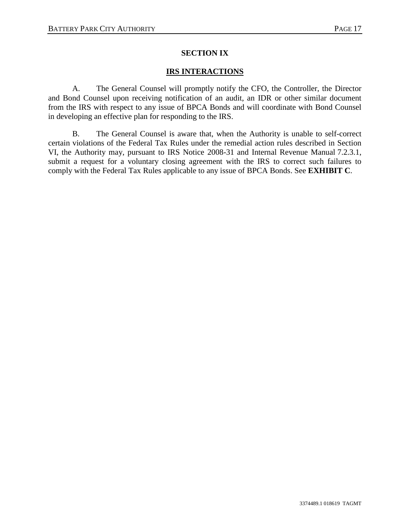# **SECTION IX**

# **IRS INTERACTIONS**

A. The General Counsel will promptly notify the CFO, the Controller, the Director and Bond Counsel upon receiving notification of an audit, an IDR or other similar document from the IRS with respect to any issue of BPCA Bonds and will coordinate with Bond Counsel in developing an effective plan for responding to the IRS.

B. The General Counsel is aware that, when the Authority is unable to self-correct certain violations of the Federal Tax Rules under the remedial action rules described in Section VI, the Authority may, pursuant to IRS Notice 2008-31 and Internal Revenue Manual 7.2.3.1, submit a request for a voluntary closing agreement with the IRS to correct such failures to comply with the Federal Tax Rules applicable to any issue of BPCA Bonds. See **EXHIBIT C**.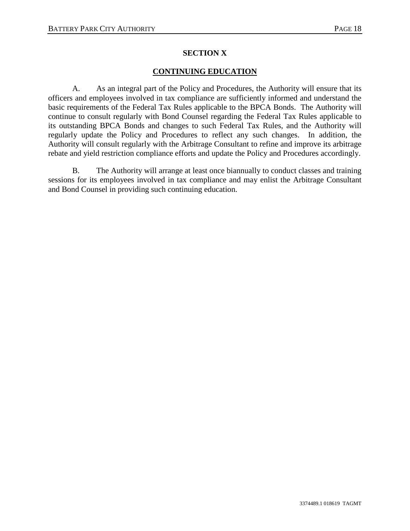# **SECTION X**

# **CONTINUING EDUCATION**

A. As an integral part of the Policy and Procedures, the Authority will ensure that its officers and employees involved in tax compliance are sufficiently informed and understand the basic requirements of the Federal Tax Rules applicable to the BPCA Bonds. The Authority will continue to consult regularly with Bond Counsel regarding the Federal Tax Rules applicable to its outstanding BPCA Bonds and changes to such Federal Tax Rules, and the Authority will regularly update the Policy and Procedures to reflect any such changes. In addition, the Authority will consult regularly with the Arbitrage Consultant to refine and improve its arbitrage rebate and yield restriction compliance efforts and update the Policy and Procedures accordingly.

B. The Authority will arrange at least once biannually to conduct classes and training sessions for its employees involved in tax compliance and may enlist the Arbitrage Consultant and Bond Counsel in providing such continuing education.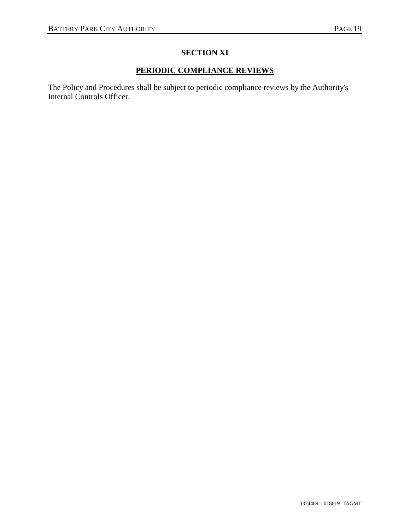# **SECTION XI**

# **PERIODIC COMPLIANCE REVIEWS**

The Policy and Procedures shall be subject to periodic compliance reviews by the Authority's Internal Controls Officer.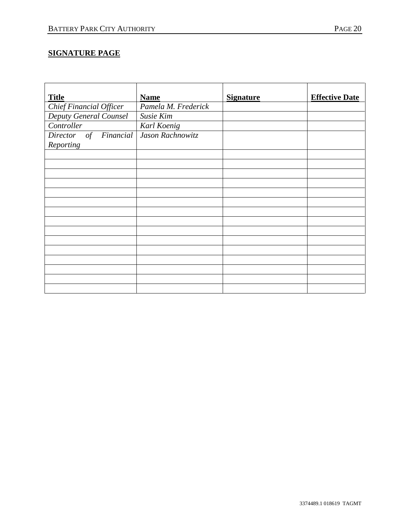# **SIGNATURE PAGE**

| <b>Title</b>            | <b>Name</b>         | <b>Signature</b> | <b>Effective Date</b> |
|-------------------------|---------------------|------------------|-----------------------|
| Chief Financial Officer | Pamela M. Frederick |                  |                       |
| Deputy General Counsel  | Susie Kim           |                  |                       |
| Controller              | Karl Koenig         |                  |                       |
| Director of Financial   | Jason Rachnowitz    |                  |                       |
| Reporting               |                     |                  |                       |
|                         |                     |                  |                       |
|                         |                     |                  |                       |
|                         |                     |                  |                       |
|                         |                     |                  |                       |
|                         |                     |                  |                       |
|                         |                     |                  |                       |
|                         |                     |                  |                       |
|                         |                     |                  |                       |
|                         |                     |                  |                       |
|                         |                     |                  |                       |
|                         |                     |                  |                       |
|                         |                     |                  |                       |
|                         |                     |                  |                       |
|                         |                     |                  |                       |
|                         |                     |                  |                       |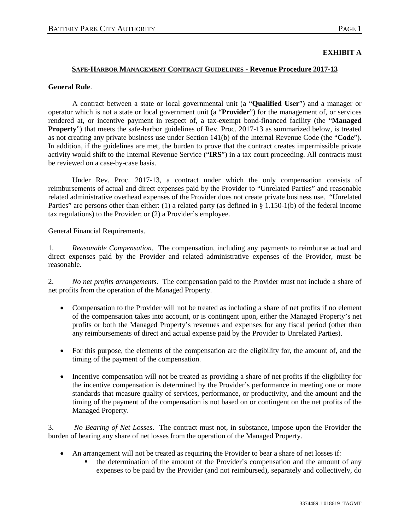#### **EXHIBIT A**

#### **SAFE-HARBOR MANAGEMENT CONTRACT GUIDELINES - Revenue Procedure 2017-13**

#### **General Rule**.

A contract between a state or local governmental unit (a "**Qualified User**") and a manager or operator which is not a state or local government unit (a "**Provider**") for the management of, or services rendered at, or incentive payment in respect of, a tax-exempt bond-financed facility (the "**Managed Property**") that meets the safe-harbor guidelines of Rev. Proc. 2017-13 as summarized below, is treated as not creating any private business use under Section 141(b) of the Internal Revenue Code (the "**Code**"). In addition, if the guidelines are met, the burden to prove that the contract creates impermissible private activity would shift to the Internal Revenue Service ("**IRS**") in a tax court proceeding. All contracts must be reviewed on a case-by-case basis.

Under Rev. Proc. 2017-13, a contract under which the only compensation consists of reimbursements of actual and direct expenses paid by the Provider to "Unrelated Parties" and reasonable related administrative overhead expenses of the Provider does not create private business use. "Unrelated Parties" are persons other than either: (1) a related party (as defined in § 1.150-1(b) of the federal income tax regulations) to the Provider; or (2) a Provider's employee.

General Financial Requirements.

1. *Reasonable Compensation*. The compensation, including any payments to reimburse actual and direct expenses paid by the Provider and related administrative expenses of the Provider, must be reasonable.

2. *No net profits arrangements*. The compensation paid to the Provider must not include a share of net profits from the operation of the Managed Property.

- Compensation to the Provider will not be treated as including a share of net profits if no element of the compensation takes into account, or is contingent upon, either the Managed Property's net profits or both the Managed Property's revenues and expenses for any fiscal period (other than any reimbursements of direct and actual expense paid by the Provider to Unrelated Parties).
- For this purpose, the elements of the compensation are the eligibility for, the amount of, and the timing of the payment of the compensation.
- Incentive compensation will not be treated as providing a share of net profits if the eligibility for the incentive compensation is determined by the Provider's performance in meeting one or more standards that measure quality of services, performance, or productivity, and the amount and the timing of the payment of the compensation is not based on or contingent on the net profits of the Managed Property.

3. *No Bearing of Net Losses*. The contract must not, in substance, impose upon the Provider the burden of bearing any share of net losses from the operation of the Managed Property.

- An arrangement will not be treated as requiring the Provider to bear a share of net losses if:
	- the determination of the amount of the Provider's compensation and the amount of any expenses to be paid by the Provider (and not reimbursed), separately and collectively, do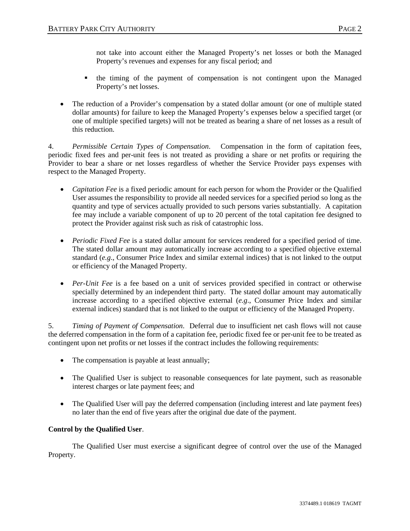not take into account either the Managed Property's net losses or both the Managed Property's revenues and expenses for any fiscal period; and

- the timing of the payment of compensation is not contingent upon the Managed Property's net losses.
- The reduction of a Provider's compensation by a stated dollar amount (or one of multiple stated dollar amounts) for failure to keep the Managed Property's expenses below a specified target (or one of multiple specified targets) will not be treated as bearing a share of net losses as a result of this reduction.

4. *Permissible Certain Types of Compensation*. Compensation in the form of capitation fees, periodic fixed fees and per-unit fees is not treated as providing a share or net profits or requiring the Provider to bear a share or net losses regardless of whether the Service Provider pays expenses with respect to the Managed Property.

- *Capitation Fee* is a fixed periodic amount for each person for whom the Provider or the Qualified User assumes the responsibility to provide all needed services for a specified period so long as the quantity and type of services actually provided to such persons varies substantially. A capitation fee may include a variable component of up to 20 percent of the total capitation fee designed to protect the Provider against risk such as risk of catastrophic loss.
- *Periodic Fixed Fee* is a stated dollar amount for services rendered for a specified period of time. The stated dollar amount may automatically increase according to a specified objective external standard (*e.g*., Consumer Price Index and similar external indices) that is not linked to the output or efficiency of the Managed Property.
- *Per-Unit Fee* is a fee based on a unit of services provided specified in contract or otherwise specially determined by an independent third party. The stated dollar amount may automatically increase according to a specified objective external (*e.g*., Consumer Price Index and similar external indices) standard that is not linked to the output or efficiency of the Managed Property.

5. *Timing of Payment of Compensation*. Deferral due to insufficient net cash flows will not cause the deferred compensation in the form of a capitation fee, periodic fixed fee or per-unit fee to be treated as contingent upon net profits or net losses if the contract includes the following requirements:

- The compensation is payable at least annually;
- The Qualified User is subject to reasonable consequences for late payment, such as reasonable interest charges or late payment fees; and
- The Qualified User will pay the deferred compensation (including interest and late payment fees) no later than the end of five years after the original due date of the payment.

# **Control by the Qualified User**.

The Qualified User must exercise a significant degree of control over the use of the Managed Property.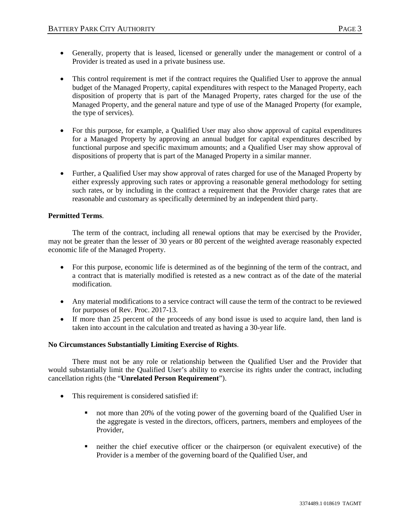- Generally, property that is leased, licensed or generally under the management or control of a Provider is treated as used in a private business use.
- This control requirement is met if the contract requires the Qualified User to approve the annual budget of the Managed Property, capital expenditures with respect to the Managed Property, each disposition of property that is part of the Managed Property, rates charged for the use of the Managed Property, and the general nature and type of use of the Managed Property (for example, the type of services).
- For this purpose, for example, a Qualified User may also show approval of capital expenditures for a Managed Property by approving an annual budget for capital expenditures described by functional purpose and specific maximum amounts; and a Qualified User may show approval of dispositions of property that is part of the Managed Property in a similar manner.
- Further, a Qualified User may show approval of rates charged for use of the Managed Property by either expressly approving such rates or approving a reasonable general methodology for setting such rates, or by including in the contract a requirement that the Provider charge rates that are reasonable and customary as specifically determined by an independent third party.

# **Permitted Terms**.

The term of the contract, including all renewal options that may be exercised by the Provider, may not be greater than the lesser of 30 years or 80 percent of the weighted average reasonably expected economic life of the Managed Property.

- For this purpose, economic life is determined as of the beginning of the term of the contract, and a contract that is materially modified is retested as a new contract as of the date of the material modification.
- Any material modifications to a service contract will cause the term of the contract to be reviewed for purposes of Rev. Proc. 2017-13.
- If more than 25 percent of the proceeds of any bond issue is used to acquire land, then land is taken into account in the calculation and treated as having a 30-year life.

#### **No Circumstances Substantially Limiting Exercise of Rights**.

There must not be any role or relationship between the Qualified User and the Provider that would substantially limit the Qualified User's ability to exercise its rights under the contract, including cancellation rights (the "**Unrelated Person Requirement**").

- This requirement is considered satisfied if:
	- not more than 20% of the voting power of the governing board of the Qualified User in the aggregate is vested in the directors, officers, partners, members and employees of the Provider,
	- neither the chief executive officer or the chairperson (or equivalent executive) of the Provider is a member of the governing board of the Qualified User, and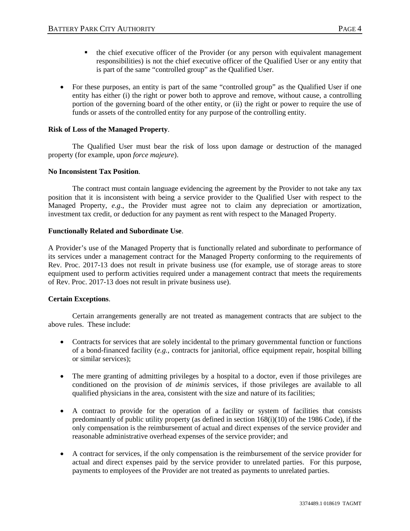- the chief executive officer of the Provider (or any person with equivalent management responsibilities) is not the chief executive officer of the Qualified User or any entity that is part of the same "controlled group" as the Qualified User.
- For these purposes, an entity is part of the same "controlled group" as the Qualified User if one entity has either (i) the right or power both to approve and remove, without cause, a controlling portion of the governing board of the other entity, or (ii) the right or power to require the use of funds or assets of the controlled entity for any purpose of the controlling entity.

#### **Risk of Loss of the Managed Property**.

The Qualified User must bear the risk of loss upon damage or destruction of the managed property (for example, upon *force majeure*).

#### **No Inconsistent Tax Position**.

The contract must contain language evidencing the agreement by the Provider to not take any tax position that it is inconsistent with being a service provider to the Qualified User with respect to the Managed Property, *e.g*., the Provider must agree not to claim any depreciation or amortization, investment tax credit, or deduction for any payment as rent with respect to the Managed Property.

#### **Functionally Related and Subordinate Use**.

A Provider's use of the Managed Property that is functionally related and subordinate to performance of its services under a management contract for the Managed Property conforming to the requirements of Rev. Proc. 2017-13 does not result in private business use (for example, use of storage areas to store equipment used to perform activities required under a management contract that meets the requirements of Rev. Proc. 2017-13 does not result in private business use).

#### **Certain Exceptions**.

Certain arrangements generally are not treated as management contracts that are subject to the above rules. These include:

- Contracts for services that are solely incidental to the primary governmental function or functions of a bond-financed facility (*e.g.*, contracts for janitorial, office equipment repair, hospital billing or similar services);
- The mere granting of admitting privileges by a hospital to a doctor, even if those privileges are conditioned on the provision of *de minimis* services, if those privileges are available to all qualified physicians in the area, consistent with the size and nature of its facilities;
- A contract to provide for the operation of a facility or system of facilities that consists predominantly of public utility property (as defined in section 168(i)(10) of the 1986 Code), if the only compensation is the reimbursement of actual and direct expenses of the service provider and reasonable administrative overhead expenses of the service provider; and
- A contract for services, if the only compensation is the reimbursement of the service provider for actual and direct expenses paid by the service provider to unrelated parties. For this purpose, payments to employees of the Provider are not treated as payments to unrelated parties.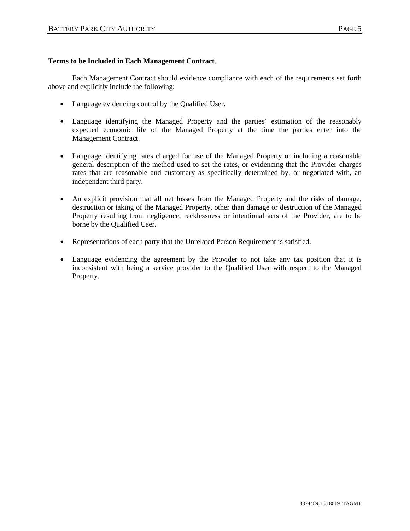#### **Terms to be Included in Each Management Contract**.

Each Management Contract should evidence compliance with each of the requirements set forth above and explicitly include the following:

- Language evidencing control by the Qualified User.
- Language identifying the Managed Property and the parties' estimation of the reasonably expected economic life of the Managed Property at the time the parties enter into the Management Contract.
- Language identifying rates charged for use of the Managed Property or including a reasonable general description of the method used to set the rates, or evidencing that the Provider charges rates that are reasonable and customary as specifically determined by, or negotiated with, an independent third party.
- An explicit provision that all net losses from the Managed Property and the risks of damage, destruction or taking of the Managed Property, other than damage or destruction of the Managed Property resulting from negligence, recklessness or intentional acts of the Provider, are to be borne by the Qualified User.
- Representations of each party that the Unrelated Person Requirement is satisfied.
- Language evidencing the agreement by the Provider to not take any tax position that it is inconsistent with being a service provider to the Qualified User with respect to the Managed Property.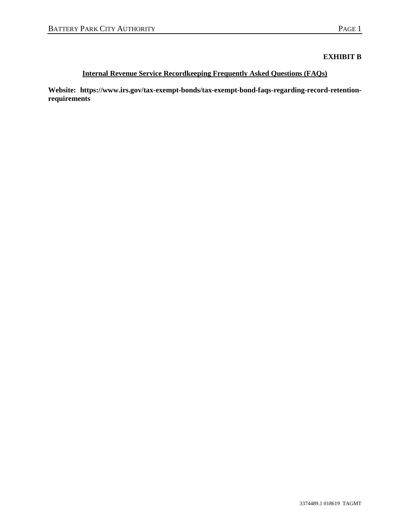# **EXHIBIT B**

# **Internal Revenue Service Recordkeeping Frequently Asked Questions (FAQs)**

**Website: https://www.irs.gov/tax-exempt-bonds/tax-exempt-bond-faqs-regarding-record-retentionrequirements**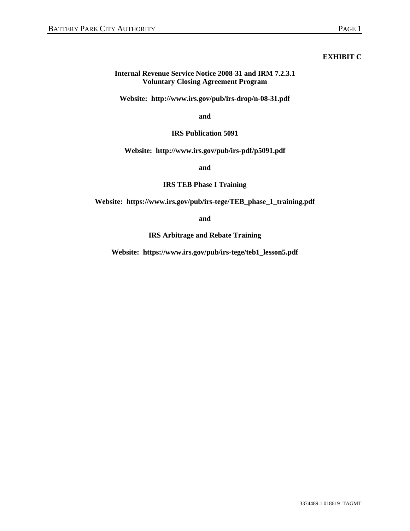# **EXHIBIT C**

## **Internal Revenue Service Notice 2008-31 and IRM 7.2.3.1 Voluntary Closing Agreement Program**

**Website: http://www.irs.gov/pub/irs-drop/n-08-31.pdf**

**and**

## **IRS Publication 5091**

## **Website: <http://www.irs.gov/pub/irs-pdf/p5091.pdf>**

**and** 

## **IRS TEB Phase I Training**

**Website: https://www.irs.gov/pub/irs-tege/TEB\_phase\_1\_training.pdf** 

**and** 

**IRS Arbitrage and Rebate Training**

**Website: https://www.irs.gov/pub/irs-tege/teb1\_lesson5.pdf**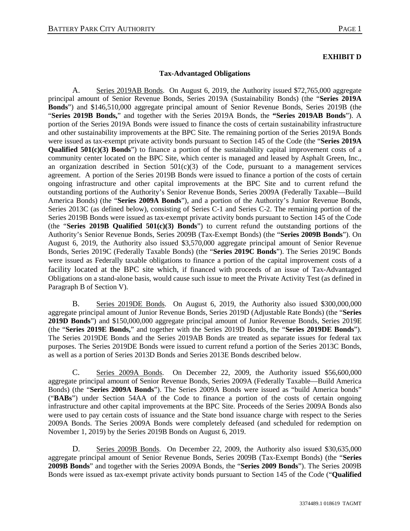# **EXHIBIT D**

#### **Tax-Advantaged Obligations**

A. Series 2019AB Bonds. On August 6, 2019, the Authority issued \$72,765,000 aggregate principal amount of Senior Revenue Bonds, Series 2019A (Sustainability Bonds) (the "**Series 2019A Bonds**") and \$146,510,000 aggregate principal amount of Senior Revenue Bonds, Series 2019B (the "**Series 2019B Bonds,**" and together with the Series 2019A Bonds, the **"Series 2019AB Bonds**"). A portion of the Series 2019A Bonds were issued to finance the costs of certain sustainability infrastructure and other sustainability improvements at the BPC Site. The remaining portion of the Series 2019A Bonds were issued as tax-exempt private activity bonds pursuant to Section 145 of the Code (the "**Series 2019A Qualified 501(c)(3) Bonds**") to finance a portion of the sustainability capital improvement costs of a community center located on the BPC Site, which center is managed and leased by Asphalt Green, Inc., an organization described in Section  $501(c)(3)$  of the Code, pursuant to a management services agreement. A portion of the Series 2019B Bonds were issued to finance a portion of the costs of certain ongoing infrastructure and other capital improvements at the BPC Site and to current refund the outstanding portions of the Authority's Senior Revenue Bonds, Series 2009A (Federally Taxable—Build America Bonds) (the "**Series 2009A Bonds**"), and a portion of the Authority's Junior Revenue Bonds, Series 2013C (as defined below), consisting of Series C-1 and Series C-2. The remaining portion of the Series 2019B Bonds were issued as tax-exempt private activity bonds pursuant to Section 145 of the Code (the "**Series 2019B Qualified 501(c)(3) Bonds**") to current refund the outstanding portions of the Authority's Senior Revenue Bonds, Series 2009B (Tax-Exempt Bonds) (the "**Series 2009B Bonds**"). On August 6, 2019, the Authority also issued \$3,570,000 aggregate principal amount of Senior Revenue Bonds, Series 2019C (Federally Taxable Bonds) (the "**Series 2019C Bonds**"). The Series 2019C Bonds were issued as Federally taxable obligations to finance a portion of the capital improvement costs of a facility located at the BPC site which, if financed with proceeds of an issue of Tax-Advantaged Obligations on a stand-alone basis, would cause such issue to meet the Private Activity Test (as defined in Paragraph B of Section V).

B. Series 2019DE Bonds. On August 6, 2019, the Authority also issued \$300,000,000 aggregate principal amount of Junior Revenue Bonds, Series 2019D (Adjustable Rate Bonds) (the "**Series 2019D Bonds**") and \$150,000,000 aggregate principal amount of Junior Revenue Bonds, Series 2019E (the "**Series 2019E Bonds,**" and together with the Series 2019D Bonds, the "**Series 2019DE Bonds**"). The Series 2019DE Bonds and the Series 2019AB Bonds are treated as separate issues for federal tax purposes. The Series 2019DE Bonds were issued to current refund a portion of the Series 2013C Bonds, as well as a portion of Series 2013D Bonds and Series 2013E Bonds described below.

C. Series 2009A Bonds. On December 22, 2009, the Authority issued \$56,600,000 aggregate principal amount of Senior Revenue Bonds, Series 2009A (Federally Taxable—Build America Bonds) (the "**Series 2009A Bonds**"). The Series 2009A Bonds were issued as "build America bonds" ("**BABs**") under Section 54AA of the Code to finance a portion of the costs of certain ongoing infrastructure and other capital improvements at the BPC Site. Proceeds of the Series 2009A Bonds also were used to pay certain costs of issuance and the State bond issuance charge with respect to the Series 2009A Bonds. The Series 2009A Bonds were completely defeased (and scheduled for redemption on November 1, 2019) by the Series 2019B Bonds on August 6, 2019.

D. Series 2009B Bonds. On December 22, 2009, the Authority also issued \$30,635,000 aggregate principal amount of Senior Revenue Bonds, Series 2009B (Tax-Exempt Bonds) (the "**Series 2009B Bonds**" and together with the Series 2009A Bonds, the "**Series 2009 Bonds**"). The Series 2009B Bonds were issued as tax-exempt private activity bonds pursuant to Section 145 of the Code ("**Qualified**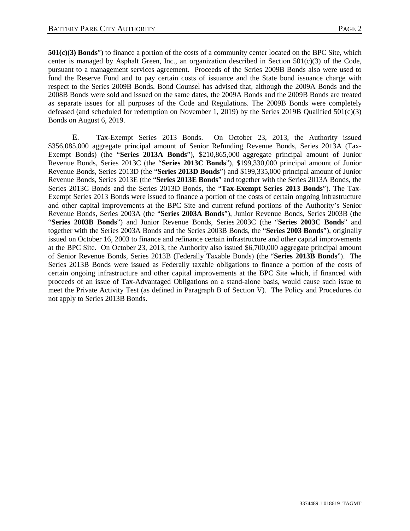**501(c)(3) Bonds**") to finance a portion of the costs of a community center located on the BPC Site, which center is managed by Asphalt Green, Inc., an organization described in Section  $501(c)(3)$  of the Code, pursuant to a management services agreement. Proceeds of the Series 2009B Bonds also were used to fund the Reserve Fund and to pay certain costs of issuance and the State bond issuance charge with respect to the Series 2009B Bonds. Bond Counsel has advised that, although the 2009A Bonds and the 2008B Bonds were sold and issued on the same dates, the 2009A Bonds and the 2009B Bonds are treated as separate issues for all purposes of the Code and Regulations. The 2009B Bonds were completely defeased (and scheduled for redemption on November 1, 2019) by the Series 2019B Qualified 501(c)(3) Bonds on August 6, 2019.

E. Tax-Exempt Series 2013 Bonds. On October 23, 2013, the Authority issued \$356,085,000 aggregate principal amount of Senior Refunding Revenue Bonds, Series 2013A (Tax-Exempt Bonds) (the "**Series 2013A Bonds**"), \$210,865,000 aggregate principal amount of Junior Revenue Bonds, Series 2013C (the "**Series 2013C Bonds**"), \$199,330,000 principal amount of Junior Revenue Bonds, Series 2013D (the "**Series 2013D Bonds**") and \$199,335,000 principal amount of Junior Revenue Bonds, Series 2013E (the "**Series 2013E Bonds**" and together with the Series 2013A Bonds, the Series 2013C Bonds and the Series 2013D Bonds, the "**Tax-Exempt Series 2013 Bonds**"). The Tax-Exempt Series 2013 Bonds were issued to finance a portion of the costs of certain ongoing infrastructure and other capital improvements at the BPC Site and current refund portions of the Authority's Senior Revenue Bonds, Series 2003A (the "**Series 2003A Bonds**"), Junior Revenue Bonds, Series 2003B (the "**Series 2003B Bonds**") and Junior Revenue Bonds, Series 2003C (the "**Series 2003C Bonds**" and together with the Series 2003A Bonds and the Series 2003B Bonds, the "**Series 2003 Bonds**"), originally issued on October 16, 2003 to finance and refinance certain infrastructure and other capital improvements at the BPC Site. On October 23, 2013, the Authority also issued \$6,700,000 aggregate principal amount of Senior Revenue Bonds, Series 2013B (Federally Taxable Bonds) (the "**Series 2013B Bonds**"). The Series 2013B Bonds were issued as Federally taxable obligations to finance a portion of the costs of certain ongoing infrastructure and other capital improvements at the BPC Site which, if financed with proceeds of an issue of Tax-Advantaged Obligations on a stand-alone basis, would cause such issue to meet the Private Activity Test (as defined in Paragraph B of Section V). The Policy and Procedures do not apply to Series 2013B Bonds.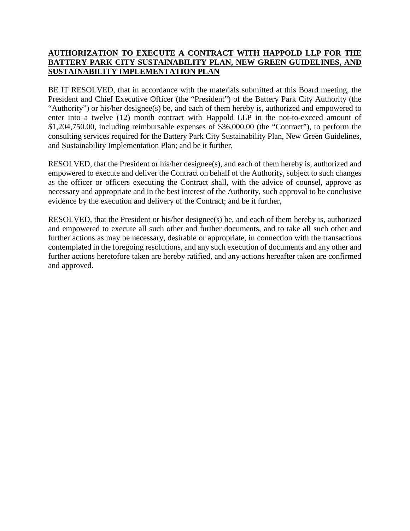# **AUTHORIZATION TO EXECUTE A CONTRACT WITH HAPPOLD LLP FOR THE BATTERY PARK CITY SUSTAINABILITY PLAN, NEW GREEN GUIDELINES, AND SUSTAINABILITY IMPLEMENTATION PLAN**

BE IT RESOLVED, that in accordance with the materials submitted at this Board meeting, the President and Chief Executive Officer (the "President") of the Battery Park City Authority (the "Authority") or his/her designee(s) be, and each of them hereby is, authorized and empowered to enter into a twelve (12) month contract with Happold LLP in the not-to-exceed amount of \$1,204,750.00, including reimbursable expenses of \$36,000.00 (the "Contract"), to perform the consulting services required for the Battery Park City Sustainability Plan, New Green Guidelines, and Sustainability Implementation Plan; and be it further,

RESOLVED, that the President or his/her designee(s), and each of them hereby is, authorized and empowered to execute and deliver the Contract on behalf of the Authority, subject to such changes as the officer or officers executing the Contract shall, with the advice of counsel, approve as necessary and appropriate and in the best interest of the Authority, such approval to be conclusive evidence by the execution and delivery of the Contract; and be it further,

RESOLVED, that the President or his/her designee(s) be, and each of them hereby is, authorized and empowered to execute all such other and further documents, and to take all such other and further actions as may be necessary, desirable or appropriate, in connection with the transactions contemplated in the foregoing resolutions, and any such execution of documents and any other and further actions heretofore taken are hereby ratified, and any actions hereafter taken are confirmed and approved.